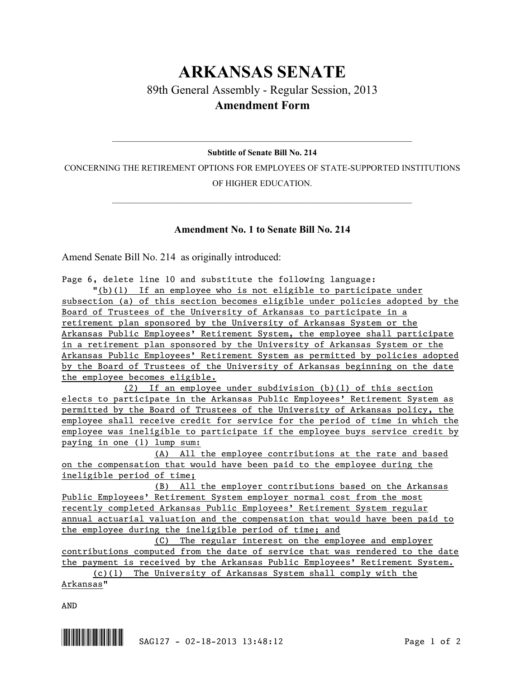## **ARKANSAS SENATE** 89th General Assembly - Regular Session, 2013 **Amendment Form**

## $\mathcal{L}_\mathcal{L} = \mathcal{L}_\mathcal{L} = \mathcal{L}_\mathcal{L} = \mathcal{L}_\mathcal{L} = \mathcal{L}_\mathcal{L} = \mathcal{L}_\mathcal{L} = \mathcal{L}_\mathcal{L} = \mathcal{L}_\mathcal{L} = \mathcal{L}_\mathcal{L} = \mathcal{L}_\mathcal{L} = \mathcal{L}_\mathcal{L} = \mathcal{L}_\mathcal{L} = \mathcal{L}_\mathcal{L} = \mathcal{L}_\mathcal{L} = \mathcal{L}_\mathcal{L} = \mathcal{L}_\mathcal{L} = \mathcal{L}_\mathcal{L}$ **Subtitle of Senate Bill No. 214**

CONCERNING THE RETIREMENT OPTIONS FOR EMPLOYEES OF STATE-SUPPORTED INSTITUTIONS OF HIGHER EDUCATION.

 $\mathcal{L}_\mathcal{L} = \mathcal{L}_\mathcal{L} = \mathcal{L}_\mathcal{L} = \mathcal{L}_\mathcal{L} = \mathcal{L}_\mathcal{L} = \mathcal{L}_\mathcal{L} = \mathcal{L}_\mathcal{L} = \mathcal{L}_\mathcal{L} = \mathcal{L}_\mathcal{L} = \mathcal{L}_\mathcal{L} = \mathcal{L}_\mathcal{L} = \mathcal{L}_\mathcal{L} = \mathcal{L}_\mathcal{L} = \mathcal{L}_\mathcal{L} = \mathcal{L}_\mathcal{L} = \mathcal{L}_\mathcal{L} = \mathcal{L}_\mathcal{L}$ 

## **Amendment No. 1 to Senate Bill No. 214**

Amend Senate Bill No. 214 as originally introduced:

Page 6, delete line 10 and substitute the following language:

"(b)(1) If an employee who is not eligible to participate under subsection (a) of this section becomes eligible under policies adopted by the Board of Trustees of the University of Arkansas to participate in a retirement plan sponsored by the University of Arkansas System or the Arkansas Public Employees' Retirement System, the employee shall participate in a retirement plan sponsored by the University of Arkansas System or the Arkansas Public Employees' Retirement System as permitted by policies adopted by the Board of Trustees of the University of Arkansas beginning on the date the employee becomes eligible.

(2) If an employee under subdivision (b)(1) of this section elects to participate in the Arkansas Public Employees' Retirement System as permitted by the Board of Trustees of the University of Arkansas policy, the employee shall receive credit for service for the period of time in which the employee was ineligible to participate if the employee buys service credit by paying in one (1) lump sum:

(A) All the employee contributions at the rate and based on the compensation that would have been paid to the employee during the ineligible period of time;

(B) All the employer contributions based on the Arkansas Public Employees' Retirement System employer normal cost from the most recently completed Arkansas Public Employees' Retirement System regular annual actuarial valuation and the compensation that would have been paid to the employee during the ineligible period of time; and

(C) The regular interest on the employee and employer contributions computed from the date of service that was rendered to the date the payment is received by the Arkansas Public Employees' Retirement System.

(c)(1) The University of Arkansas System shall comply with the Arkansas"

AND